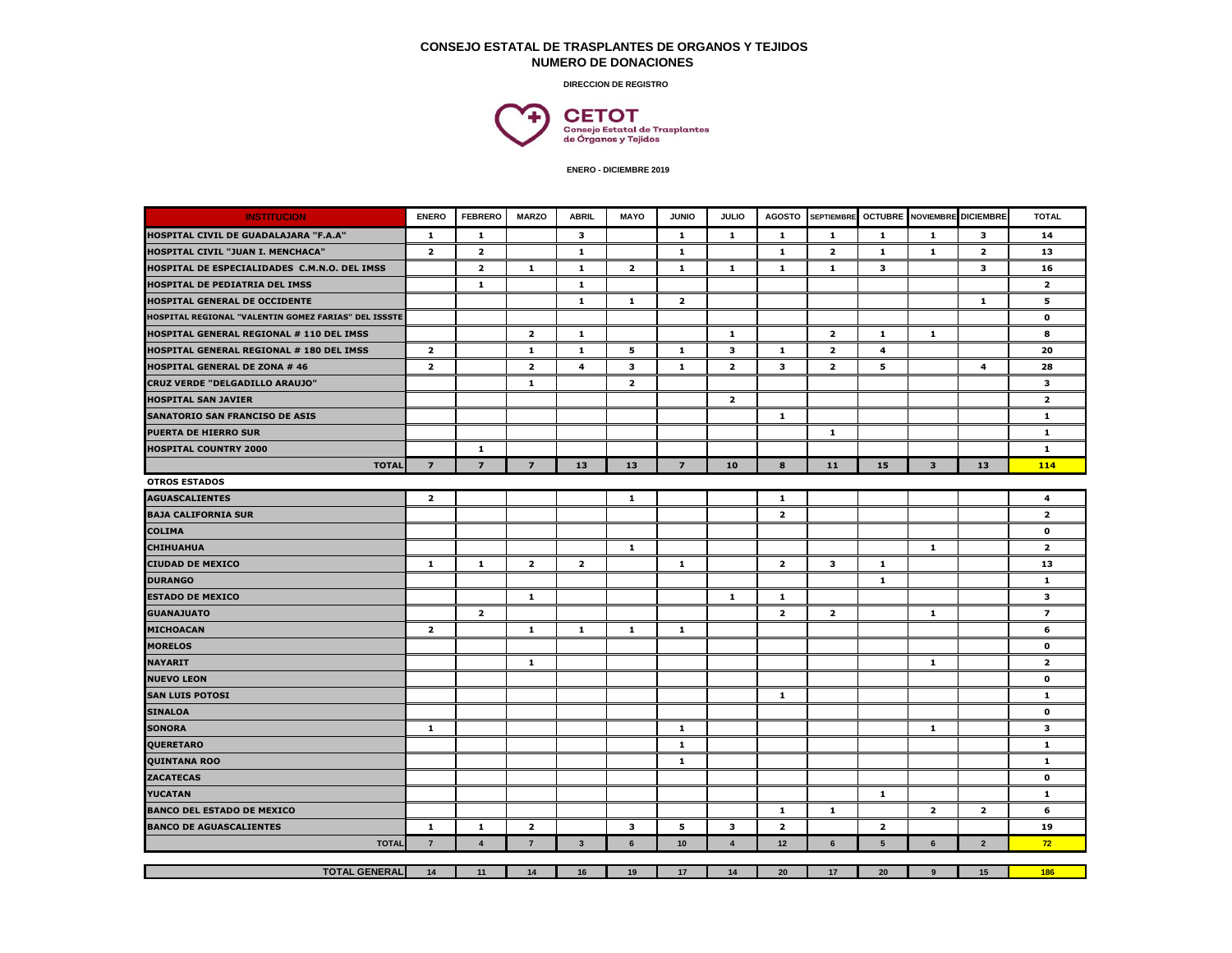## **CONSEJO ESTATAL DE TRASPLANTES DE ORGANOS Y TEJIDOS NUMERO DE DONACIONES**

**DIRECCION DE REGISTRO**



| <b>INSTITUCION</b>                                   | <b>ENERO</b>            | <b>FEBRERO</b> | <b>MARZO</b>            | <b>ABRIL</b>            | <b>MAYO</b>             | <b>JUNIO</b>            | <b>JULIO</b>            | <b>AGOSTO</b>           | <b>SEPTIEMBRI</b>       | <b>OCTUBRE</b>  | <b>NOVIEMBRE</b> DICIEMBRE |                         | <b>TOTAL</b>            |
|------------------------------------------------------|-------------------------|----------------|-------------------------|-------------------------|-------------------------|-------------------------|-------------------------|-------------------------|-------------------------|-----------------|----------------------------|-------------------------|-------------------------|
| HOSPITAL CIVIL DE GUADALAJARA "F.A.A"                | $\mathbf{1}$            | 1              |                         | 3                       |                         | $\mathbf{1}$            | $\mathbf{1}$            | $\mathbf{1}$            | $\mathbf{1}$            | $\mathbf 1$     | $\mathbf 1$                | 3                       | 14                      |
| HOSPITAL CIVIL "JUAN I. MENCHACA"                    | $\overline{2}$          | $\mathbf{z}$   |                         | 1                       |                         | 1                       |                         | 1                       | $\overline{\mathbf{2}}$ | 1               | 1                          | $\overline{\mathbf{2}}$ | 13                      |
| HOSPITAL DE ESPECIALIDADES C.M.N.O. DEL IMSS         |                         | $\overline{2}$ | $\mathbf{1}$            | $\mathbf{1}$            | $\overline{2}$          | -1                      | $\mathbf{1}$            | $\mathbf{1}$            | $\mathbf{1}$            | 3               |                            | 3                       | 16                      |
| HOSPITAL DE PEDIATRIA DEL IMSS                       |                         | $\mathbf{1}$   |                         | $\mathbf{1}$            |                         |                         |                         |                         |                         |                 |                            |                         | $\overline{2}$          |
| HOSPITAL GENERAL DE OCCIDENTE                        |                         |                |                         | $\mathbf{1}$            | $\mathbf{1}$            | $\overline{\mathbf{2}}$ |                         |                         |                         |                 |                            | ${\bf 1}$               | 5                       |
| HOSPITAL REGIONAL "VALENTIN GOMEZ FARIAS" DEL ISSSTE |                         |                |                         |                         |                         |                         |                         |                         |                         |                 |                            |                         | $\mathbf 0$             |
| HOSPITAL GENERAL REGIONAL # 110 DEL IMSS             |                         |                | $\overline{2}$          | $\mathbf{1}$            |                         |                         | $\mathbf{1}$            |                         | $\overline{\mathbf{2}}$ | $\mathbf{1}$    | 1                          |                         | 8                       |
| HOSPITAL GENERAL REGIONAL # 180 DEL IMSS             | $\overline{2}$          |                | 1                       | $\mathbf{1}$            | 5                       | $\mathbf{1}$            | 3                       | $\mathbf{1}$            | $\overline{2}$          | $\overline{a}$  |                            |                         | 20                      |
| <b>HOSPITAL GENERAL DE ZONA # 46</b>                 | $\overline{\mathbf{2}}$ |                | $\overline{\mathbf{2}}$ | 4                       | 3                       | $\mathbf{1}$            | $\overline{\mathbf{2}}$ | 3                       | $\overline{\mathbf{2}}$ | 5               |                            | $\overline{\mathbf{4}}$ | 28                      |
| CRUZ VERDE "DELGADILLO ARAUJO"                       |                         |                | $\mathbf{1}$            |                         | $\overline{\mathbf{2}}$ |                         |                         |                         |                         |                 |                            |                         | 3                       |
| <b>HOSPITAL SAN JAVIER</b>                           |                         |                |                         |                         |                         |                         | $\overline{2}$          |                         |                         |                 |                            |                         | $\overline{2}$          |
| <b>SANATORIO SAN FRANCISO DE ASIS</b>                |                         |                |                         |                         |                         |                         |                         | $\mathbf{1}$            |                         |                 |                            |                         | $\mathbf{1}$            |
| <b>PUERTA DE HIERRO SUR</b>                          |                         |                |                         |                         |                         |                         |                         |                         | $\mathbf{1}$            |                 |                            |                         | 1                       |
| <b>HOSPITAL COUNTRY 2000</b>                         |                         | 1              |                         |                         |                         |                         |                         |                         |                         |                 |                            |                         | 1                       |
| <b>TOTAL</b>                                         | $\overline{7}$          | $\overline{7}$ | $\overline{z}$          | 13                      | 13                      | $\overline{z}$          | 10                      | 8                       | 11                      | 15              | $\overline{\mathbf{3}}$    | 13                      | 114                     |
| <b>OTROS ESTADOS</b>                                 |                         |                |                         |                         |                         |                         |                         |                         |                         |                 |                            |                         |                         |
| <b>AGUASCALIENTES</b>                                | $\overline{\mathbf{z}}$ |                |                         |                         | $\mathbf{1}$            |                         |                         | $\mathbf 1$             |                         |                 |                            |                         | $\overline{\mathbf{4}}$ |
| <b>BAJA CALIFORNIA SUR</b>                           |                         |                |                         |                         |                         |                         |                         | $\overline{\mathbf{2}}$ |                         |                 |                            |                         | $\overline{2}$          |
| <b>COLIMA</b>                                        |                         |                |                         |                         |                         |                         |                         |                         |                         |                 |                            |                         | $\mathbf{o}$            |
| <b>CHIHUAHUA</b>                                     |                         |                |                         |                         | $\mathbf{1}$            |                         |                         |                         |                         |                 | $\mathbf{1}$               |                         | $\overline{\mathbf{2}}$ |
| <b>CIUDAD DE MEXICO</b>                              | 1                       | $\mathbf{1}$   | $\overline{2}$          | $\overline{\mathbf{z}}$ |                         | $\mathbf{1}$            |                         | $\overline{2}$          | 3                       | $\mathbf{1}$    |                            |                         | 13                      |
| <b>DURANGO</b>                                       |                         |                |                         |                         |                         |                         |                         |                         |                         | $\mathbf{1}$    |                            |                         | $\mathbf{1}$            |
| <b>ESTADO DE MEXICO</b>                              |                         |                | 1                       |                         |                         |                         | $\mathbf{1}$            | -1                      |                         |                 |                            |                         | $\overline{\mathbf{3}}$ |
| <b>GUANAJUATO</b>                                    |                         | $\mathbf{z}$   |                         |                         |                         |                         |                         | $\overline{\mathbf{2}}$ | $\overline{\mathbf{2}}$ |                 | $\mathbf{1}$               |                         | $\overline{\mathbf{z}}$ |
| <b>MICHOACAN</b>                                     | $\overline{\mathbf{2}}$ |                | $\mathbf{1}$            | $\mathbf{1}$            | $\mathbf{1}$            | $\mathbf{1}$            |                         |                         |                         |                 |                            |                         | 6                       |
| <b>MORELOS</b>                                       |                         |                |                         |                         |                         |                         |                         |                         |                         |                 |                            |                         | $\mathbf{o}$            |
| <b>NAYARIT</b>                                       |                         |                | $\mathbf{1}$            |                         |                         |                         |                         |                         |                         |                 | $\mathbf{1}$               |                         | $\overline{2}$          |
| <b>NUEVO LEON</b>                                    |                         |                |                         |                         |                         |                         |                         |                         |                         |                 |                            |                         | $\mathbf 0$             |
| <b>SAN LUIS POTOSI</b>                               |                         |                |                         |                         |                         |                         |                         | $\mathbf{1}$            |                         |                 |                            |                         | $\mathbf{1}$            |
| <b>SINALOA</b>                                       |                         |                |                         |                         |                         |                         |                         |                         |                         |                 |                            |                         | $\mathbf{o}$            |
| <b>SONORA</b>                                        | $\mathbf{1}$            |                |                         |                         |                         | -1                      |                         |                         |                         |                 | 1                          |                         | 3                       |
| <b>QUERETARO</b>                                     |                         |                |                         |                         |                         | -1                      |                         |                         |                         |                 |                            |                         | 1                       |
| <b>QUINTANA ROO</b>                                  |                         |                |                         |                         |                         | $\mathbf{1}$            |                         |                         |                         |                 |                            |                         | $\mathbf 1$             |
| <b>ZACATECAS</b>                                     |                         |                |                         |                         |                         |                         |                         |                         |                         |                 |                            |                         | $\mathbf{o}$            |
| <b>YUCATAN</b>                                       |                         |                |                         |                         |                         |                         |                         |                         |                         | $\mathbf{1}$    |                            |                         | $\mathbf 1$             |
| <b>BANCO DEL ESTADO DE MEXICO</b>                    |                         |                |                         |                         |                         |                         |                         | $\mathbf 1$             | $\mathbf{1}$            |                 | $\overline{\mathbf{2}}$    | $\overline{\mathbf{2}}$ | 6                       |
| <b>BANCO DE AGUASCALIENTES</b>                       | $\mathbf{1}$            | $\mathbf{1}$   | $\overline{2}$          |                         | 3                       | 5                       | 3                       | $\overline{2}$          |                         | $\overline{2}$  |                            |                         | 19                      |
| <b>TOTAL</b>                                         | $\overline{7}$          | $\overline{4}$ | $\overline{7}$          | $\overline{\mathbf{3}}$ | 6                       | 10                      | $\overline{\mathbf{4}}$ | 12                      | $6\phantom{1}$          | $5\phantom{.0}$ | 6                          | $\overline{2}$          | 72                      |
|                                                      |                         |                |                         |                         |                         |                         |                         |                         |                         |                 |                            |                         |                         |
| <b>TOTAL GENERAL</b>                                 | 14                      | 11             | 14                      | 16                      | 19                      | 17                      | 14                      | 20                      | 17                      | 20              | $\boldsymbol{9}$           | 15                      | 186                     |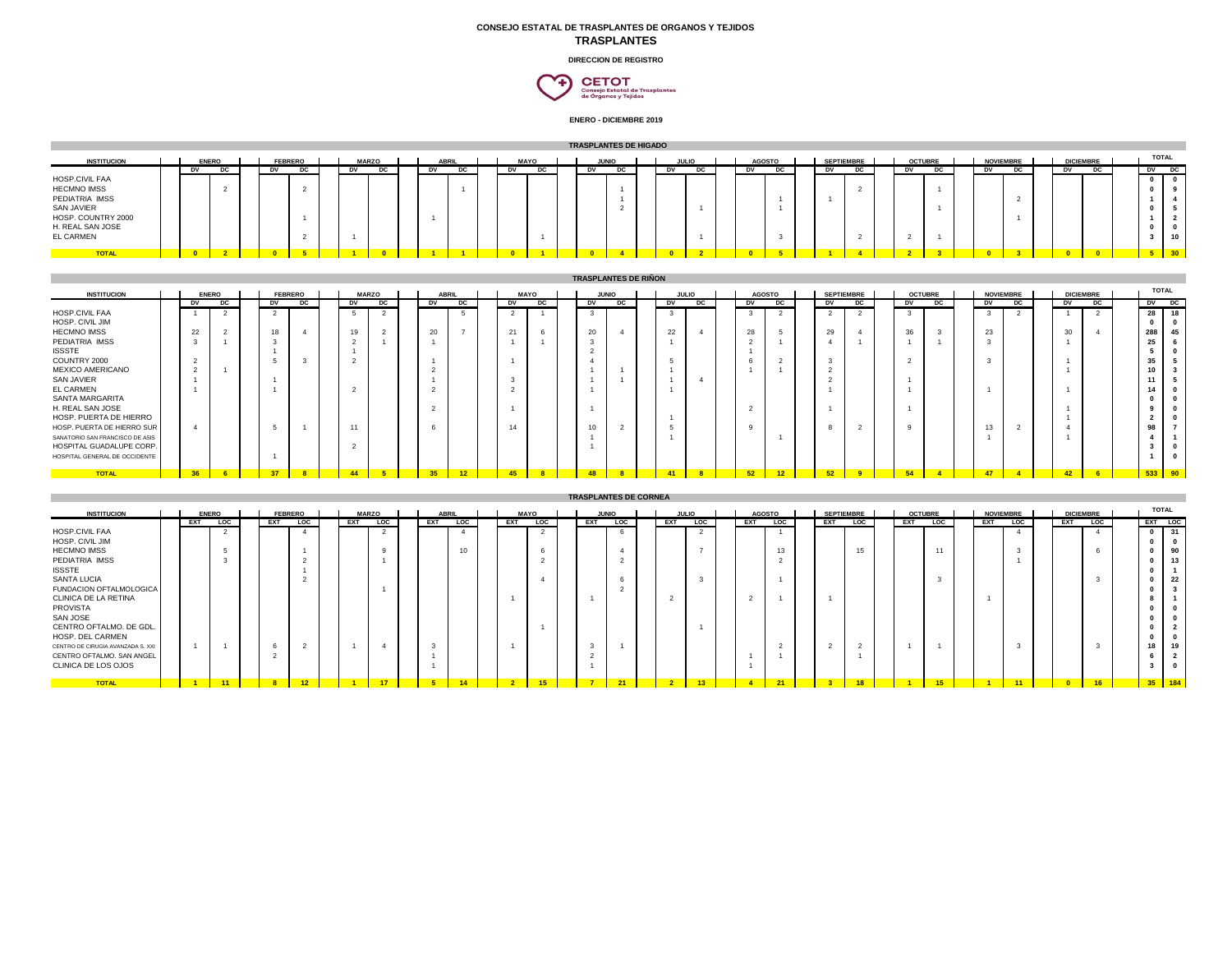## **CONSEJO ESTATAL DE TRASPLANTES DE ORGANOS Y TEJIDOS TRASPLANTES**

**DIRECCION DE REGISTRO**

 $\begin{array}{c} \textbf{CETOT} \\ \textbf{Consojo Estatal de Trasplantes} \\ \textbf{de Organos y Tojidos} \end{array}$ ₠

| TRASPI ANTES DE HIGADO |  |  |
|------------------------|--|--|

| <b>INSTITUCION</b>                                                                                                                 |  | <b>ENERO</b> |    | <b>FEBRERO</b> |           | <b>MARZO</b> |    | <b>ABRIL</b> | <b>MAYO</b> |    | <b>JUNIO</b> |  |    | .0000 |    | <b>AGOSTO</b> | <b>SEPTIEMBRE</b> |    | <b>OCTUBRE</b> |     |    | <b>NOVIEMBRE</b> | <b>DICIEMBRE</b> |  | <b>TOTAL</b> |                 |
|------------------------------------------------------------------------------------------------------------------------------------|--|--------------|----|----------------|-----------|--------------|----|--------------|-------------|----|--------------|--|----|-------|----|---------------|-------------------|----|----------------|-----|----|------------------|------------------|--|--------------|-----------------|
| HOSP.CIVIL FAA<br><b>HECMNO IMSS</b><br>PEDIATRIA IMSS<br>SAN JAVIER<br>HOSP. COUNTRY 2000<br>H. REAL SAN JOSE<br><b>EL CARMEN</b> |  |              | υv | υc             | <b>DV</b> | יט           | υv | יט           |             | υc | עט           |  | עט | υc    | עט | DG.           | DV                | DG | υv             | DG. | DV | DG.              | DV               |  | D            | DC<br>10        |
| <b>TOTAL</b>                                                                                                                       |  |              |    |                |           |              |    |              |             |    |              |  |    |       |    |               |                   |    |                |     |    |                  |                  |  | <b>E</b>     | 30 <sup>h</sup> |

|                                 |    |              |    |                |              |    |              |    |                |    |              | <b>TRASPLANTES DE RIÑON</b> |       |              |        |               |    |                   |    |                |              |                  |                 |                  |              |    |
|---------------------------------|----|--------------|----|----------------|--------------|----|--------------|----|----------------|----|--------------|-----------------------------|-------|--------------|--------|---------------|----|-------------------|----|----------------|--------------|------------------|-----------------|------------------|--------------|----|
| <b>INSTITUCION</b>              |    | <b>ENERO</b> |    | <b>FEBRERO</b> | <b>MARZO</b> |    | <b>ABRIL</b> |    | <b>MAYO</b>    |    |              | <b>JUNIO</b>                |       | <b>JULIO</b> |        | <b>AGOSTO</b> |    | <b>SEPTIEMBRE</b> |    | <b>OCTUBRE</b> |              | <b>NOVIEMBRE</b> |                 | <b>DICIEMBRE</b> | <b>TOTAL</b> |    |
|                                 | υv | DC           | DV | DC             | DV           | DC | DV           | DC | DV             | DC | DV           | DC                          | υv    | DC           | DV     | DC            | DV | DC                | DV |                | DV           | DC               | DV              | DC               | $-$ DV $-$   | DC |
| HOSP.CIVIL FAA                  |    |              |    |                |              |    |              | -5 | $\overline{2}$ |    | $\mathbf{3}$ |                             |       |              |        |               | 2  |                   |    |                | $\mathbf{3}$ |                  |                 |                  | 28           | 18 |
| HOSP. CIVIL JIM                 |    |              |    |                |              |    |              |    |                |    |              |                             |       |              |        |               |    |                   |    |                |              |                  |                 |                  |              |    |
| <b>HECMNO IMSS</b>              | 22 |              | 18 |                | 19           |    | 20           |    | 21             |    | 20           |                             | 22    |              | 28     |               | 29 |                   | 36 |                | 23           |                  | 30              |                  | 288          | 45 |
| PEDIATRIA IMSS                  |    |              |    |                |              |    |              |    |                |    | $\mathbf{3}$ |                             |       |              |        |               |    |                   |    |                | $\sim$       |                  |                 |                  |              |    |
| <b>ISSSTE</b>                   |    |              |    |                |              |    |              |    |                |    | $\sim$       |                             |       |              |        |               |    |                   |    |                |              |                  |                 |                  |              |    |
| COUNTRY 2000                    |    |              |    |                |              |    |              |    |                |    |              |                             |       |              |        |               |    |                   |    |                |              |                  |                 |                  |              |    |
| MEXICO AMERICANO                |    |              |    |                |              |    |              |    |                |    |              |                             |       |              |        |               |    |                   |    |                |              |                  |                 |                  |              |    |
| SAN JAVIER                      |    |              |    |                |              |    |              |    | -3             |    |              |                             |       |              |        |               |    |                   |    |                |              |                  |                 |                  |              |    |
| <b>EL CARMEN</b>                |    |              |    |                |              |    |              |    | $\sim$         |    |              |                             |       |              |        |               |    |                   |    |                |              |                  |                 |                  |              |    |
| SANTA MARGARITA                 |    |              |    |                |              |    |              |    |                |    |              |                             |       |              |        |               |    |                   |    |                |              |                  |                 |                  |              |    |
| H. REAL SAN JOSE                |    |              |    |                |              |    |              |    |                |    |              |                             |       |              | $\sim$ |               |    |                   |    |                |              |                  |                 |                  |              |    |
| HOSP. PUERTA DE HIERRO          |    |              |    |                |              |    |              |    |                |    |              |                             |       |              |        |               |    |                   |    |                |              |                  |                 |                  |              |    |
| HOSP. PUERTA DE HIERRO SUR      |    |              |    |                | 11           |    |              |    | 14             |    | 10           |                             |       |              |        |               |    |                   |    |                | 13           |                  |                 |                  |              |    |
| SANATORIO SAN FRANCISCO DE ASIS |    |              |    |                |              |    |              |    |                |    |              |                             |       |              |        |               |    |                   |    |                |              |                  |                 |                  |              |    |
| HOSPITAL GUADALUPE CORP.        |    |              |    |                |              |    |              |    |                |    |              |                             |       |              |        |               |    |                   |    |                |              |                  |                 |                  |              |    |
| HOSPITAL GENERAL DE OCCIDENTE   |    |              |    |                |              |    |              |    |                |    |              |                             |       |              |        |               |    |                   |    |                |              |                  |                 |                  |              |    |
|                                 |    |              |    |                |              |    |              |    |                |    |              |                             |       |              |        |               |    |                   |    |                |              |                  |                 |                  |              |    |
| <b>TOTAL</b>                    | 36 |              | 37 |                | 44           |    | 35           | 12 | 45             | 8  | 48           |                             | $-41$ |              | 52     | $-12$         | 52 |                   | 54 | $\overline{a}$ | 47           |                  | 42 <sup>2</sup> |                  | 533 90       |    |

|                                   |     |              |                |            |     |              |              |            |             |                 |              | <b>TRASPLANTES DE CORNEA</b> |     |                 |     |               |                |                   |            |                 |                  |            |     |                  |              |                |
|-----------------------------------|-----|--------------|----------------|------------|-----|--------------|--------------|------------|-------------|-----------------|--------------|------------------------------|-----|-----------------|-----|---------------|----------------|-------------------|------------|-----------------|------------------|------------|-----|------------------|--------------|----------------|
| <b>INSTITUCION</b>                |     | <b>ENERO</b> | <b>FEBRERO</b> |            |     | <b>MARZO</b> | <b>ABRIL</b> |            | <b>MAYO</b> |                 | <b>JUNIO</b> |                              |     | <b>JULIO</b>    |     | <b>AGOSTO</b> |                | <b>SEPTIEMBRE</b> |            | <b>OCTUBRE</b>  | <b>NOVIEMBRE</b> |            |     | <b>DICIEMBRE</b> | <b>TOTAL</b> |                |
|                                   | EXT | <b>LOC</b>   | EXT            | <b>LOC</b> | EXT | <b>LOC</b>   | EXT          | <b>LOC</b> | EXT         | <b>LOC</b>      | EXT          | <b>LOC</b>                   | EXT | <b>LOC</b>      | EXT | <b>LOC</b>    | EXT            | <b>LOC</b>        | <b>EXT</b> | <b>LOC</b>      | EXT              | <b>LOC</b> | EXT | <b>LOC</b>       | EXT LOC      |                |
| HOSP.CIVIL FAA                    |     | $\sim$       |                |            |     |              |              |            |             | $\sim$          |              |                              |     | $\sim$          |     |               |                |                   |            |                 |                  |            |     |                  | $\mathbf{0}$ | 31<br>$\sim$   |
| HOSP. CIVIL JIM                   |     |              |                |            |     |              |              |            |             |                 |              |                              |     |                 |     |               |                |                   |            |                 |                  |            |     |                  | $\mathbf{0}$ |                |
| <b>HECMNO IMSS</b>                |     |              |                |            |     |              |              |            |             |                 |              |                              |     |                 |     | 13            |                | 15                |            | 11              |                  |            |     |                  | $\Omega$     | 90             |
| PEDIATRIA IMSS                    |     |              |                |            |     |              |              |            |             |                 |              |                              |     |                 |     | $\sim$        |                |                   |            |                 |                  |            |     |                  | $\Omega$     | 13             |
| <b>ISSSTE</b>                     |     |              |                |            |     |              |              |            |             |                 |              |                              |     |                 |     |               |                |                   |            |                 |                  |            |     |                  |              |                |
| <b>SANTA LUCIA</b>                |     |              |                |            |     |              |              |            |             |                 |              |                              |     | $\mathbf{3}$    |     |               |                |                   |            |                 |                  |            |     |                  | $\Omega$     | 22             |
| FUNDACION OFTALMOLOGICA           |     |              |                |            |     |              |              |            |             |                 |              |                              |     |                 |     |               |                |                   |            |                 |                  |            |     |                  |              |                |
| CLINICA DE LA RETINA              |     |              |                |            |     |              |              |            |             |                 |              |                              |     |                 |     |               |                |                   |            |                 |                  |            |     |                  |              |                |
| <b>PROVISTA</b>                   |     |              |                |            |     |              |              |            |             |                 |              |                              |     |                 |     |               |                |                   |            |                 |                  |            |     |                  |              |                |
| SAN JOSE                          |     |              |                |            |     |              |              |            |             |                 |              |                              |     |                 |     |               |                |                   |            |                 |                  |            |     |                  |              |                |
| CENTRO OFTALMO. DE GDL.           |     |              |                |            |     |              |              |            |             |                 |              |                              |     |                 |     |               |                |                   |            |                 |                  |            |     |                  | $\Omega$     | $\overline{2}$ |
| HOSP. DEL CARMEN                  |     |              |                |            |     |              |              |            |             |                 |              |                              |     |                 |     |               |                |                   |            |                 |                  |            |     |                  |              |                |
| CENTRO DE CIRUGIA AVANZADA S. XXI |     |              |                |            |     |              |              |            |             |                 |              |                              |     |                 |     |               | $\sim$         |                   |            |                 |                  |            |     |                  | 18           | 19             |
| CENTRO OFTALMO. SAN ANGEL         |     |              |                |            |     |              |              |            |             |                 |              |                              |     |                 |     |               |                |                   |            |                 |                  |            |     |                  | 6            | $\overline{2}$ |
| CLINICA DE LOS OJOS               |     |              |                |            |     |              |              |            |             |                 |              |                              |     |                 |     |               |                |                   |            |                 |                  |            |     |                  | $\mathbf{r}$ | $\sim$         |
| <b>TOTAL</b>                      |     | $11-1$       | 8 <sup>1</sup> | 12         |     | 17           |              | 14         |             | 15 <sub>1</sub> |              | 21                           |     | 13 <sup>°</sup> |     | 21            | 3 <sup>1</sup> |                   |            | 15 <sup>2</sup> |                  | 11         |     | 16 <sup>1</sup>  | 35 184       |                |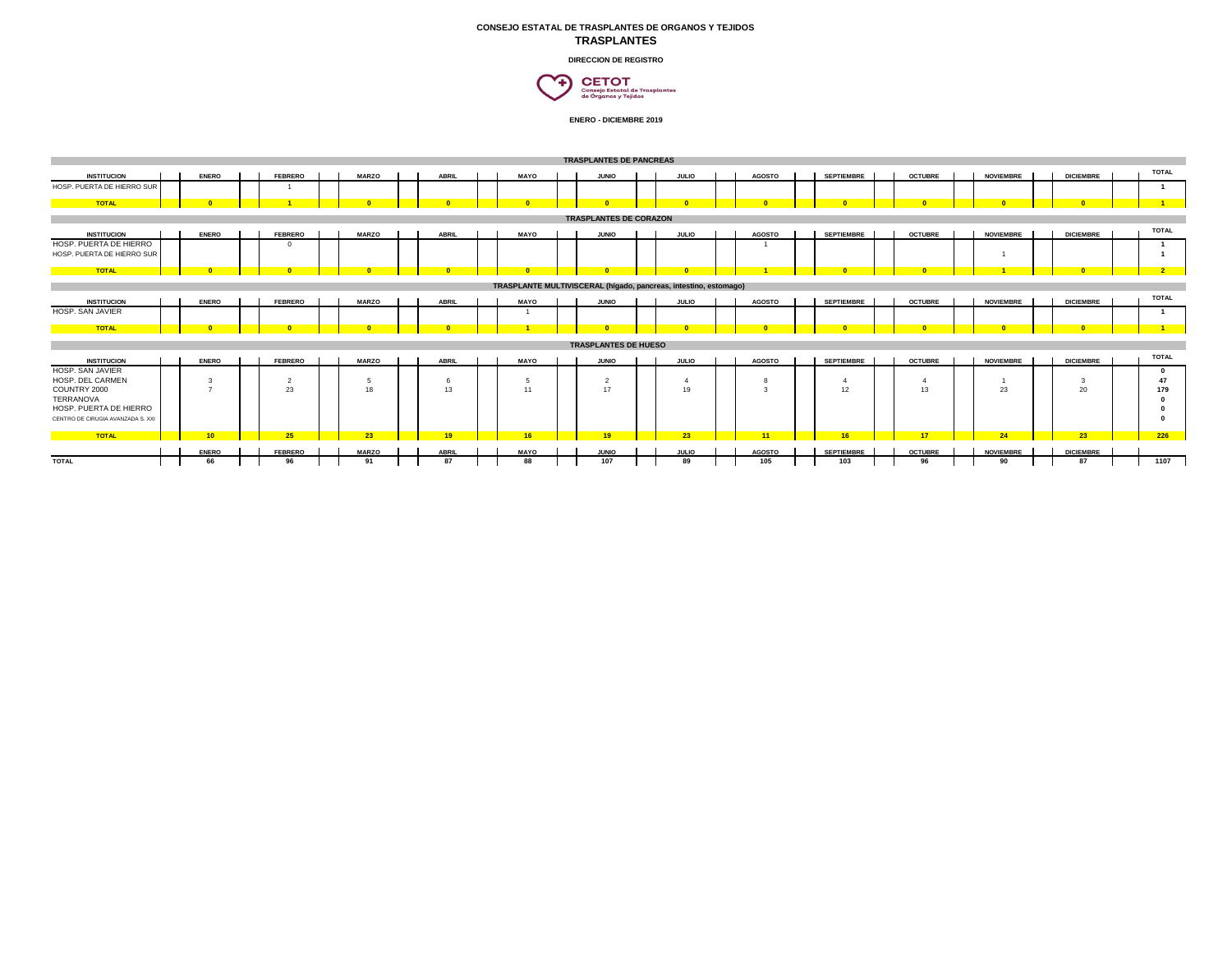## **CONSEJO ESTATAL DE TRASPLANTES DE ORGANOS Y TEJIDOS TRASPLANTES**

**DIRECCION DE REGISTRO**



|                                                      |               |                |              |              |             | <b>TRASPLANTES DE PANCREAS</b> |                                                                  |               |                   |                 |                  |                  |              |
|------------------------------------------------------|---------------|----------------|--------------|--------------|-------------|--------------------------------|------------------------------------------------------------------|---------------|-------------------|-----------------|------------------|------------------|--------------|
| <b>INSTITUCION</b>                                   | <b>ENERO</b>  | <b>FEBRERO</b> | <b>MARZO</b> | <b>ABRIL</b> | <b>MAYO</b> | <b>JUNIO</b>                   | <b>JULIO</b>                                                     | <b>AGOSTO</b> | <b>SEPTIEMBRE</b> | <b>OCTUBRE</b>  | <b>NOVIEMBRE</b> | <b>DICIEMBRE</b> | <b>TOTAL</b> |
| HOSP. PUERTA DE HIERRO SUR                           |               |                |              |              |             |                                |                                                                  |               |                   |                 |                  |                  |              |
| <b>TOTAL</b>                                         |               |                |              |              |             |                                |                                                                  |               |                   |                 |                  |                  |              |
|                                                      |               |                |              |              |             | <b>TRASPLANTES DE CORAZON</b>  |                                                                  |               |                   |                 |                  |                  |              |
|                                                      |               |                |              |              |             |                                |                                                                  |               |                   |                 |                  |                  | <b>TOTAL</b> |
| <b>INSTITUCION</b>                                   | <b>ENERO</b>  | <b>FEBRERO</b> | <b>MARZO</b> | <b>ABRIL</b> | <b>MAYO</b> | <b>JUNIO</b>                   | <b>JULIO</b>                                                     | <b>AGOSTO</b> | <b>SEPTIEMBRE</b> | <b>OCTUBRE</b>  | <b>NOVIEMBRE</b> | <b>DICIEMBRE</b> |              |
| HOSP, PUERTA DE HIERRO<br>HOSP. PUERTA DE HIERRO SUR |               |                |              |              |             |                                |                                                                  |               |                   |                 |                  |                  |              |
| <b>TOTAL</b>                                         |               |                |              |              |             |                                |                                                                  |               |                   |                 |                  |                  |              |
|                                                      |               |                |              |              |             |                                |                                                                  |               |                   |                 |                  |                  |              |
|                                                      |               |                |              |              |             |                                | TRASPLANTE MULTIVISCERAL (hígado, pancreas, intestino, estomago) |               |                   |                 |                  |                  |              |
| <b>INSTITUCION</b>                                   | <b>ENERO</b>  | <b>FEBRERO</b> | <b>MARZO</b> | <b>ABRIL</b> | <b>MAYO</b> | <b>JUNIO</b>                   | <b>JULIO</b>                                                     | <b>AGOSTO</b> | <b>SEPTIEMBRE</b> | <b>OCTUBRE</b>  | <b>NOVIEMBRE</b> | <b>DICIEMBRE</b> | <b>TOTAL</b> |
| HOSP. SAN JAVIER                                     |               |                |              |              |             |                                |                                                                  |               |                   |                 |                  |                  |              |
| <b>TOTAL</b>                                         |               |                |              |              |             |                                |                                                                  |               |                   |                 |                  |                  |              |
|                                                      |               |                |              |              |             | <b>TRASPLANTES DE HUESO</b>    |                                                                  |               |                   |                 |                  |                  |              |
|                                                      |               |                |              |              |             |                                |                                                                  |               |                   |                 |                  |                  | <b>TOTAL</b> |
| <b>INSTITUCION</b><br>HOSP. SAN JAVIER               | <b>ENERO</b>  | <b>FEBRERO</b> | <b>MARZO</b> | <b>ABRIL</b> | <b>MAYO</b> | <b>JUNIO</b>                   | <b>JULIO</b>                                                     | <b>AGOSTO</b> | <b>SEPTIEMBRE</b> | <b>OCTUBRE</b>  | <b>NOVIEMBRE</b> | <b>DICIEMBRE</b> |              |
| HOSP. DEL CARMEN                                     | $\mathbf{3}$  |                |              |              | 5           | $\overline{2}$                 |                                                                  | 8             |                   |                 |                  | $\mathbf{R}$     | 47           |
| COUNTRY 2000                                         | $\rightarrow$ | 23             | 18           | 13           | 11          | 17                             | 19                                                               | $\mathbf{z}$  | 12                | 13              | 23               | 20               | 179          |
| <b>TERRANOVA</b>                                     |               |                |              |              |             |                                |                                                                  |               |                   |                 |                  |                  |              |
| HOSP, PUERTA DE HIERRO                               |               |                |              |              |             |                                |                                                                  |               |                   |                 |                  |                  |              |
| CENTRO DE CIRUGIA AVANZADA S. XXI                    |               |                |              |              |             |                                |                                                                  |               |                   |                 |                  |                  |              |
| <b>TOTAL</b>                                         | 10            | 25             | 23           | 19           | 16          |                                | 23                                                               | 11            | 16                | 17 <sub>1</sub> | 24               | 23               | 226          |
|                                                      | <b>ENERO</b>  | <b>FEBRERO</b> | <b>MARZO</b> | <b>ABRIL</b> | <b>MAYO</b> | <b>JUNIO</b>                   | <b>JULIO</b>                                                     | <b>AGOSTO</b> | <b>SEPTIEMBRE</b> | <b>OCTUBRE</b>  | <b>NOVIEMBRE</b> | <b>DICIEMBRE</b> |              |
| <b>TOTAL</b>                                         | 66            | 96             | 91           | 87           | 88          | 107                            | 89                                                               | 105           | 103               | 96              | 90               | 87               | 1107         |
|                                                      |               |                |              |              |             |                                |                                                                  |               |                   |                 |                  |                  |              |